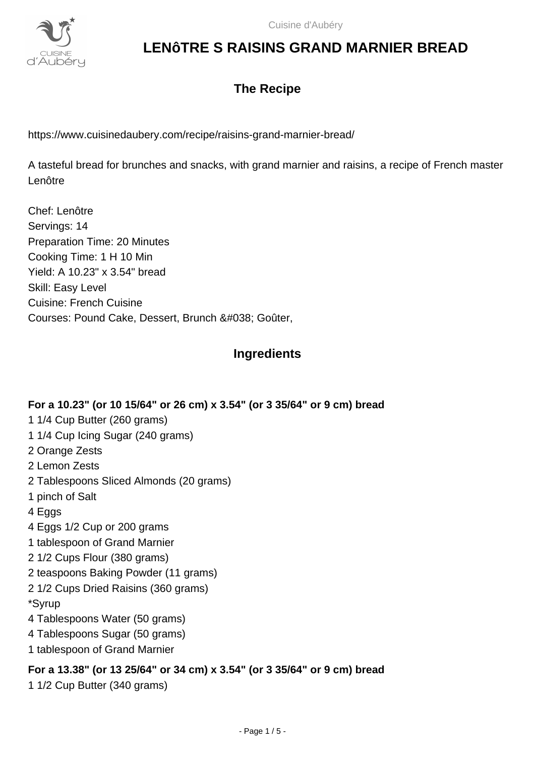

### **The Recipe**

https://www.cuisinedaubery.com/recipe/raisins-grand-marnier-bread/

A tasteful bread for brunches and snacks, with grand marnier and raisins, a recipe of French master Lenôtre

Chef: Lenôtre Servings: 14 Preparation Time: 20 Minutes Cooking Time: 1 H 10 Min Yield: A 10.23" x 3.54" bread Skill: Easy Level Cuisine: French Cuisine Courses: Pound Cake, Dessert, Brunch & Goûter,

### **Ingredients**

### **For a 10.23" (or 10 15/64" or 26 cm) x 3.54" (or 3 35/64" or 9 cm) bread**

- 1 1/4 Cup Butter (260 grams)
- 1 1/4 Cup Icing Sugar (240 grams)
- 2 Orange Zests
- 2 Lemon Zests
- 2 Tablespoons Sliced Almonds (20 grams)
- 1 pinch of Salt
- 4 Eggs
- 4 Eggs 1/2 Cup or 200 grams
- 1 tablespoon of Grand Marnier
- 2 1/2 Cups Flour (380 grams)
- 2 teaspoons Baking Powder (11 grams)
- 2 1/2 Cups Dried Raisins (360 grams)
- \*Syrup
- 4 Tablespoons Water (50 grams)
- 4 Tablespoons Sugar (50 grams)
- 1 tablespoon of Grand Marnier

### **For a 13.38" (or 13 25/64" or 34 cm) x 3.54" (or 3 35/64" or 9 cm) bread**

1 1/2 Cup Butter (340 grams)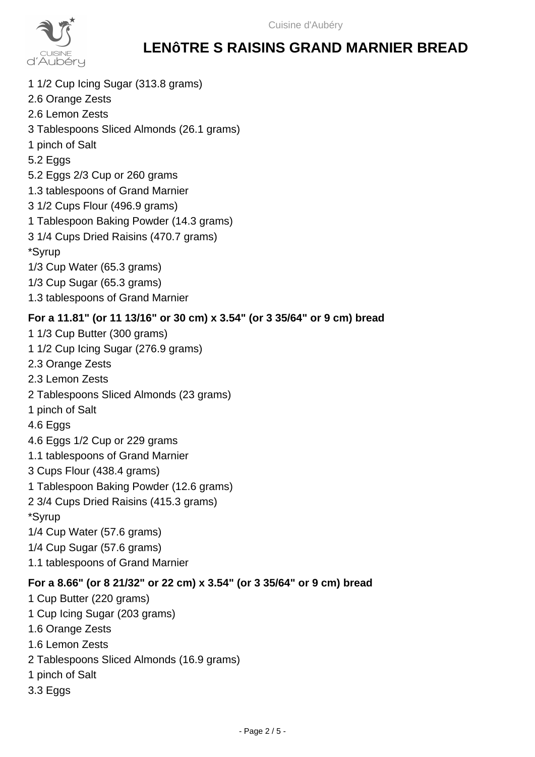

- 1 1/2 Cup Icing Sugar (313.8 grams)
- 2.6 Orange Zests
- 2.6 Lemon Zests
- 3 Tablespoons Sliced Almonds (26.1 grams)
- 1 pinch of Salt
- 5.2 Eggs
- 5.2 Eggs 2/3 Cup or 260 grams
- 1.3 tablespoons of Grand Marnier
- 3 1/2 Cups Flour (496.9 grams)
- 1 Tablespoon Baking Powder (14.3 grams)
- 3 1/4 Cups Dried Raisins (470.7 grams)
- \*Syrup
- 1/3 Cup Water (65.3 grams)
- 1/3 Cup Sugar (65.3 grams)
- 1.3 tablespoons of Grand Marnier

### **For a 11.81" (or 11 13/16" or 30 cm) x 3.54" (or 3 35/64" or 9 cm) bread**

1 1/3 Cup Butter (300 grams) 1 1/2 Cup Icing Sugar (276.9 grams) 2.3 Orange Zests 2.3 Lemon Zests 2 Tablespoons Sliced Almonds (23 grams) 1 pinch of Salt 4.6 Eggs 4.6 Eggs 1/2 Cup or 229 grams 1.1 tablespoons of Grand Marnier 3 Cups Flour (438.4 grams) 1 Tablespoon Baking Powder (12.6 grams) 2 3/4 Cups Dried Raisins (415.3 grams) \*Syrup 1/4 Cup Water (57.6 grams) 1/4 Cup Sugar (57.6 grams) 1.1 tablespoons of Grand Marnier

### **For a 8.66" (or 8 21/32" or 22 cm) x 3.54" (or 3 35/64" or 9 cm) bread**

1 Cup Butter (220 grams) 1 Cup Icing Sugar (203 grams) 1.6 Orange Zests 1.6 Lemon Zests 2 Tablespoons Sliced Almonds (16.9 grams) 1 pinch of Salt 3.3 Eggs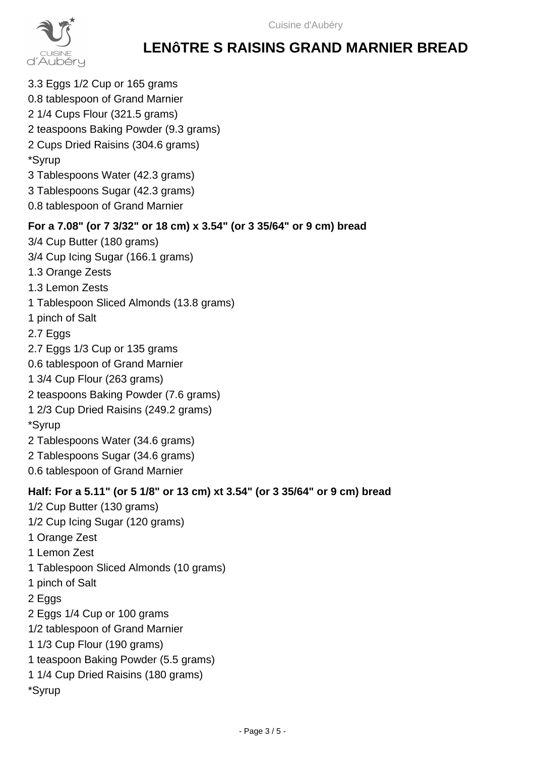

3.3 Eggs 1/2 Cup or 165 grams 0.8 tablespoon of Grand Marnier 2 1/4 Cups Flour (321.5 grams) 2 teaspoons Baking Powder (9.3 grams) 2 Cups Dried Raisins (304.6 grams) \*Syrup 3 Tablespoons Water (42.3 grams) 3 Tablespoons Sugar (42.3 grams) 0.8 tablespoon of Grand Marnier **For a 7.08" (or 7 3/32" or 18 cm) x 3.54" (or 3 35/64" or 9 cm) bread** 3/4 Cup Butter (180 grams) 3/4 Cup Icing Sugar (166.1 grams) 1.3 Orange Zests 1.3 Lemon Zests 1 Tablespoon Sliced Almonds (13.8 grams) 1 pinch of Salt 2.7 Eggs 2.7 Eggs 1/3 Cup or 135 grams 0.6 tablespoon of Grand Marnier 1 3/4 Cup Flour (263 grams) 2 teaspoons Baking Powder (7.6 grams) 1 2/3 Cup Dried Raisins (249.2 grams) \*Syrup 2 Tablespoons Water (34.6 grams) 2 Tablespoons Sugar (34.6 grams) 0.6 tablespoon of Grand Marnier **Half: For a 5.11" (or 5 1/8" or 13 cm) xt 3.54" (or 3 35/64" or 9 cm) bread** 1/2 Cup Butter (130 grams) 1/2 Cup Icing Sugar (120 grams) 1 Orange Zest 1 Lemon Zest 1 Tablespoon Sliced Almonds (10 grams) 1 pinch of Salt 2 Eggs 2 Eggs 1/4 Cup or 100 grams 1/2 tablespoon of Grand Marnier 1 1/3 Cup Flour (190 grams) 1 teaspoon Baking Powder (5.5 grams) 1 1/4 Cup Dried Raisins (180 grams) \*Syrup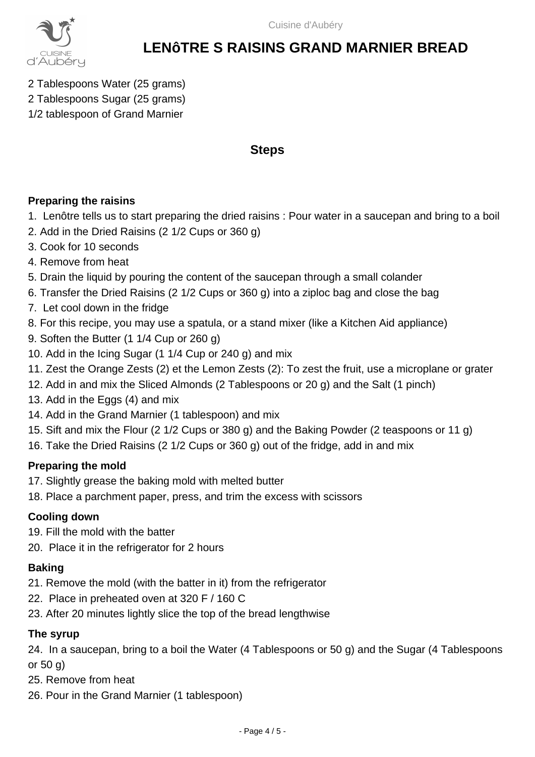

- 2 Tablespoons Water (25 grams)
- 2 Tablespoons Sugar (25 grams)
- 1/2 tablespoon of Grand Marnier

### **Steps**

### **Preparing the raisins**

- 1. Lenôtre tells us to start preparing the dried raisins : Pour water in a saucepan and bring to a boil
- 2. Add in the Dried Raisins (2 1/2 Cups or 360 g)
- 3. Cook for 10 seconds
- 4. Remove from heat
- 5. Drain the liquid by pouring the content of the saucepan through a small colander
- 6. Transfer the Dried Raisins (2 1/2 Cups or 360 g) into a ziploc bag and close the bag
- 7. Let cool down in the fridge
- 8. For this recipe, you may use a spatula, or a stand mixer (like a Kitchen Aid appliance)
- 9. Soften the Butter (1 1/4 Cup or 260 g)
- 10. Add in the Icing Sugar (1 1/4 Cup or 240 g) and mix
- 11. Zest the Orange Zests (2) et the Lemon Zests (2): To zest the fruit, use a microplane or grater
- 12. Add in and mix the Sliced Almonds (2 Tablespoons or 20 g) and the Salt (1 pinch)
- 13. Add in the Eggs (4) and mix
- 14. Add in the Grand Marnier (1 tablespoon) and mix
- 15. Sift and mix the Flour (2 1/2 Cups or 380 g) and the Baking Powder (2 teaspoons or 11 g)
- 16. Take the Dried Raisins (2 1/2 Cups or 360 g) out of the fridge, add in and mix

### **Preparing the mold**

- 17. Slightly grease the baking mold with melted butter
- 18. Place a parchment paper, press, and trim the excess with scissors

### **Cooling down**

- 19. Fill the mold with the batter
- 20. Place it in the refrigerator for 2 hours

### **Baking**

- 21. Remove the mold (with the batter in it) from the refrigerator
- 22. Place in preheated oven at 320 F / 160 C
- 23. After 20 minutes lightly slice the top of the bread lengthwise

### **The syrup**

24. In a saucepan, bring to a boil the Water (4 Tablespoons or 50 g) and the Sugar (4 Tablespoons or 50 g)

- 25. Remove from heat
- 26. Pour in the Grand Marnier (1 tablespoon)